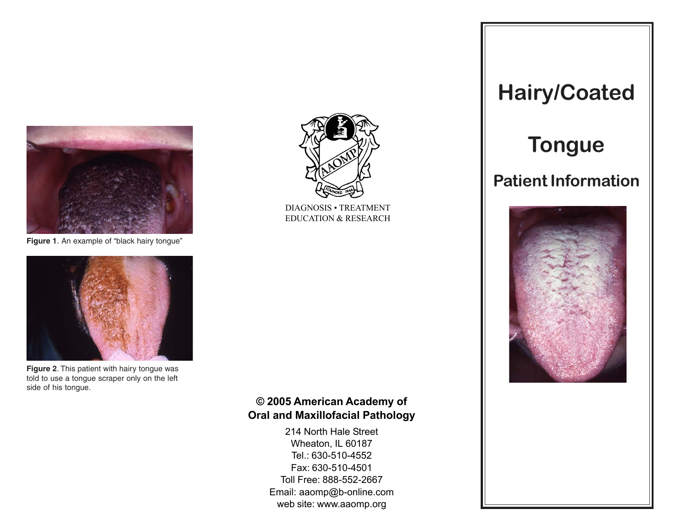

**Figure 1**. An example of "black hairy tongue"



**Figure 2**. This patient with hairy tongue was told to use a tongue scraper only on the left side of his tongue.



DIAGNOSIS · TREATMENT EDUCATION & RESEARCH

# © 2005 American Academy of Oral and Maxillofacial Pathology

214 North Hale Street Wheaton, IL 60187 Tel.: 630-510-4552 Fax: 630-510-4501 Toll Free: 888-552-2667 Email: aaomp@b-online.com web site: www.aaomp.org